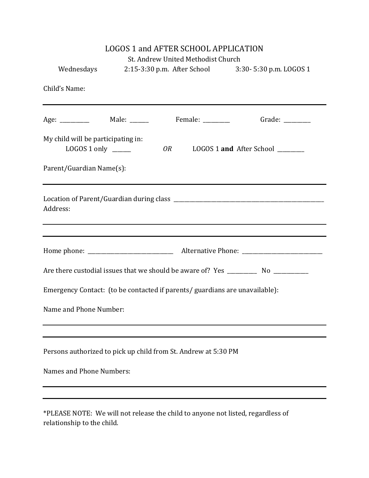| <b>LOGOS 1 and AFTER SCHOOL APPLICATION</b><br>St. Andrew United Methodist Church |                                                    |                                  |
|-----------------------------------------------------------------------------------|----------------------------------------------------|----------------------------------|
| Wednesdays                                                                        | 2:15-3:30 p.m. After School 3:30-5:30 p.m. LOGOS 1 |                                  |
| Child's Name:                                                                     |                                                    |                                  |
| Age: ___________ Male: ______ Female: ________ Grade: ________                    |                                                    |                                  |
| My child will be participating in:<br>LOGOS 1 only $\frac{1}{2}$                  | 0R                                                 | LOGOS 1 and After School _______ |
| Parent/Guardian Name(s):                                                          |                                                    |                                  |
| Address:                                                                          |                                                    |                                  |
|                                                                                   |                                                    |                                  |
|                                                                                   |                                                    |                                  |
| Emergency Contact: (to be contacted if parents/ guardians are unavailable):       |                                                    |                                  |
| Name and Phone Number:                                                            |                                                    |                                  |
|                                                                                   |                                                    |                                  |
| Persons authorized to pick up child from St. Andrew at 5:30 PM                    |                                                    |                                  |
| Names and Phone Numbers:                                                          |                                                    |                                  |
|                                                                                   |                                                    |                                  |
|                                                                                   |                                                    |                                  |

\*PLEASE NOTE: We will not release the child to anyone not listed, regardless of relationship to the child.